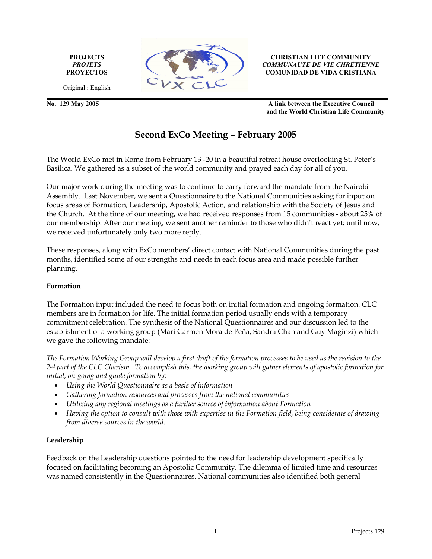PROJECTS PROJETS **PROYECTOS** 



CHRISTIAN LIFE COMMUNITY COMMUNAUTÉ DE VIE CHRÉTIENNE COMUNIDAD DE VIDA CRISTIANA

Original : English

No. 129 May 2005 A link between the Executive Council and the World Christian Life Community

# Second ExCo Meeting – February 2005

The World ExCo met in Rome from February 13 -20 in a beautiful retreat house overlooking St. Peter's Basilica. We gathered as a subset of the world community and prayed each day for all of you.

Our major work during the meeting was to continue to carry forward the mandate from the Nairobi Assembly. Last November, we sent a Questionnaire to the National Communities asking for input on focus areas of Formation, Leadership, Apostolic Action, and relationship with the Society of Jesus and the Church. At the time of our meeting, we had received responses from 15 communities - about 25% of our membership. After our meeting, we sent another reminder to those who didn't react yet; until now, we received unfortunately only two more reply.

These responses, along with ExCo members' direct contact with National Communities during the past months, identified some of our strengths and needs in each focus area and made possible further planning.

#### Formation

The Formation input included the need to focus both on initial formation and ongoing formation. CLC members are in formation for life. The initial formation period usually ends with a temporary commitment celebration. The synthesis of the National Questionnaires and our discussion led to the establishment of a working group (Mari Carmen Mora de Peňa, Sandra Chan and Guy Maginzi) which we gave the following mandate:

The Formation Working Group will develop a first draft of the formation processes to be used as the revision to the 2nd part of the CLC Charism. To accomplish this, the working group will gather elements of apostolic formation for initial, on-going and guide formation by:

- Using the World Questionnaire as a basis of information
- Gathering formation resources and processes from the national communities
- Utilizing any regional meetings as a further source of information about Formation
- Having the option to consult with those with expertise in the Formation field, being considerate of drawing from diverse sources in the world.

#### Leadership

Feedback on the Leadership questions pointed to the need for leadership development specifically focused on facilitating becoming an Apostolic Community. The dilemma of limited time and resources was named consistently in the Questionnaires. National communities also identified both general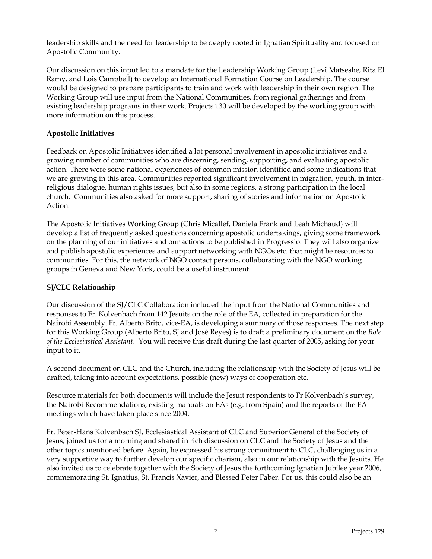leadership skills and the need for leadership to be deeply rooted in Ignatian Spirituality and focused on Apostolic Community.

Our discussion on this input led to a mandate for the Leadership Working Group (Levi Matseshe, Rita El Ramy, and Lois Campbell) to develop an International Formation Course on Leadership. The course would be designed to prepare participants to train and work with leadership in their own region. The Working Group will use input from the National Communities, from regional gatherings and from existing leadership programs in their work. Projects 130 will be developed by the working group with more information on this process.

#### Apostolic Initiatives

Feedback on Apostolic Initiatives identified a lot personal involvement in apostolic initiatives and a growing number of communities who are discerning, sending, supporting, and evaluating apostolic action. There were some national experiences of common mission identified and some indications that we are growing in this area. Communities reported significant involvement in migration, youth, in interreligious dialogue, human rights issues, but also in some regions, a strong participation in the local church. Communities also asked for more support, sharing of stories and information on Apostolic Action.

The Apostolic Initiatives Working Group (Chris Micallef, Daniela Frank and Leah Michaud) will develop a list of frequently asked questions concerning apostolic undertakings, giving some framework on the planning of our initiatives and our actions to be published in Progressio. They will also organize and publish apostolic experiences and support networking with NGOs etc. that might be resources to communities. For this, the network of NGO contact persons, collaborating with the NGO working groups in Geneva and New York, could be a useful instrument.

## SJ/CLC Relationship

Our discussion of the SJ/CLC Collaboration included the input from the National Communities and responses to Fr. Kolvenbach from 142 Jesuits on the role of the EA, collected in preparation for the Nairobi Assembly. Fr. Alberto Brito, vice-EA, is developing a summary of those responses. The next step for this Working Group (Alberto Brito, SJ and José Reyes) is to draft a preliminary document on the Role of the Ecclesiastical Assistant. You will receive this draft during the last quarter of 2005, asking for your input to it.

A second document on CLC and the Church, including the relationship with the Society of Jesus will be drafted, taking into account expectations, possible (new) ways of cooperation etc.

Resource materials for both documents will include the Jesuit respondents to Fr Kolvenbach's survey, the Nairobi Recommendations, existing manuals on EAs (e.g. from Spain) and the reports of the EA meetings which have taken place since 2004.

Fr. Peter-Hans Kolvenbach SJ, Ecclesiastical Assistant of CLC and Superior General of the Society of Jesus, joined us for a morning and shared in rich discussion on CLC and the Society of Jesus and the other topics mentioned before. Again, he expressed his strong commitment to CLC, challenging us in a very supportive way to further develop our specific charism, also in our relationship with the Jesuits. He also invited us to celebrate together with the Society of Jesus the forthcoming Ignatian Jubilee year 2006, commemorating St. Ignatius, St. Francis Xavier, and Blessed Peter Faber. For us, this could also be an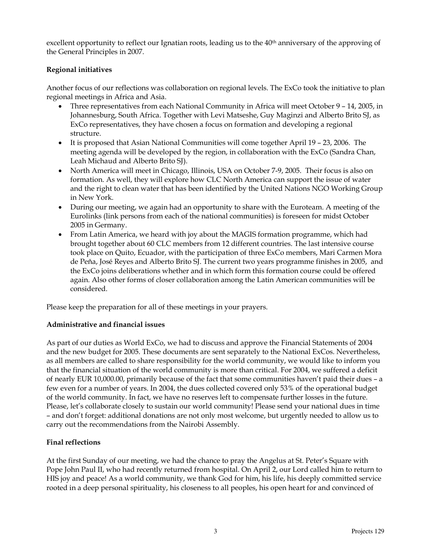excellent opportunity to reflect our Ignatian roots, leading us to the 40<sup>th</sup> anniversary of the approving of the General Principles in 2007.

## Regional initiatives

Another focus of our reflections was collaboration on regional levels. The ExCo took the initiative to plan regional meetings in Africa and Asia.

- Three representatives from each National Community in Africa will meet October 9 14, 2005, in Johannesburg, South Africa. Together with Levi Matseshe, Guy Maginzi and Alberto Brito SJ, as ExCo representatives, they have chosen a focus on formation and developing a regional structure.
- It is proposed that Asian National Communities will come together April 19 23, 2006. The meeting agenda will be developed by the region, in collaboration with the ExCo (Sandra Chan, Leah Michaud and Alberto Brito SJ).
- North America will meet in Chicago, Illinois, USA on October 7-9, 2005. Their focus is also on formation. As well, they will explore how CLC North America can support the issue of water and the right to clean water that has been identified by the United Nations NGO Working Group in New York.
- During our meeting, we again had an opportunity to share with the Euroteam. A meeting of the Eurolinks (link persons from each of the national communities) is foreseen for midst October 2005 in Germany.
- From Latin America, we heard with joy about the MAGIS formation programme, which had brought together about 60 CLC members from 12 different countries. The last intensive course took place on Quito, Ecuador, with the participation of three ExCo members, Mari Carmen Mora de Peňa, José Reyes and Alberto Brito SJ. The current two years programme finishes in 2005, and the ExCo joins deliberations whether and in which form this formation course could be offered again. Also other forms of closer collaboration among the Latin American communities will be considered.

Please keep the preparation for all of these meetings in your prayers.

## Administrative and financial issues

As part of our duties as World ExCo, we had to discuss and approve the Financial Statements of 2004 and the new budget for 2005. These documents are sent separately to the National ExCos. Nevertheless, as all members are called to share responsibility for the world community, we would like to inform you that the financial situation of the world community is more than critical. For 2004, we suffered a deficit of nearly EUR 10,000.00, primarily because of the fact that some communities haven't paid their dues – a few even for a number of years. In 2004, the dues collected covered only 53% of the operational budget of the world community. In fact, we have no reserves left to compensate further losses in the future. Please, let's collaborate closely to sustain our world community! Please send your national dues in time – and don't forget: additional donations are not only most welcome, but urgently needed to allow us to carry out the recommendations from the Nairobi Assembly.

## Final reflections

At the first Sunday of our meeting, we had the chance to pray the Angelus at St. Peter's Square with Pope John Paul II, who had recently returned from hospital. On April 2, our Lord called him to return to HIS joy and peace! As a world community, we thank God for him, his life, his deeply committed service rooted in a deep personal spirituality, his closeness to all peoples, his open heart for and convinced of